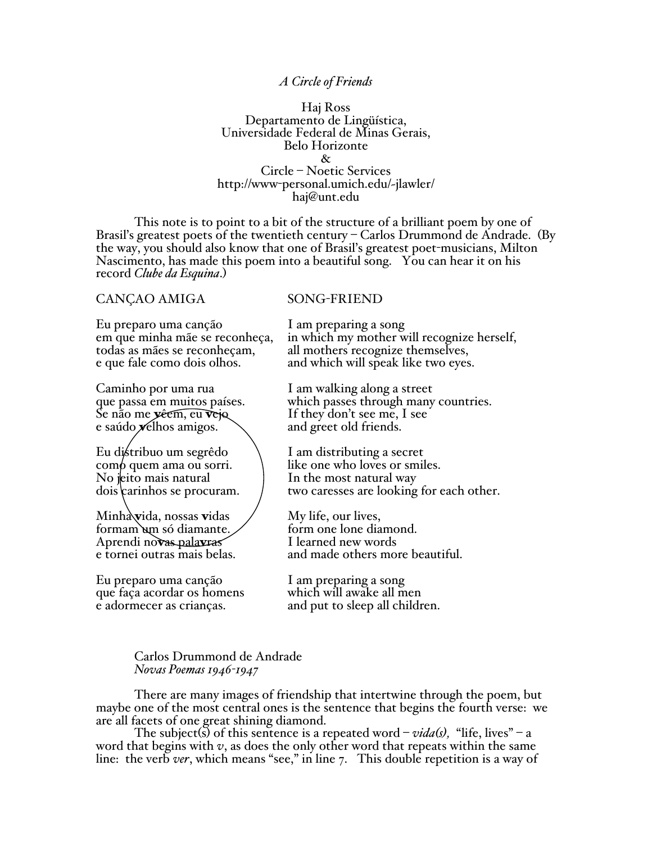## *A Circle of Friends*

Haj Ross Departamento de Lingüística, Universidade Federal de Minas Gerais, Belo Horizonte & Circle – Noetic Services http://www-personal.umich.edu/~jlawler/ haj@unt.edu

This note is to point to a bit of the structure of a brilliant poem by one of Brasil's greatest poets of the twentieth century – Carlos Drummond de Andrade. (By the way, you should also know that one of Brasil's greatest poet-musicians, Milton Nascimento, has made this poem into a beautiful song. You can hear it on his record *Clube da Esquina*.)

## CANÇÃO AMIGA SONG-FRIEND

Eu preparo uma canção I am preparing a song

Caminho por uma rua I am walking along a street e saúdo  $\chi$ elhos amigos.

Eu distribuo um segrêdo  $\qquad \qquad$  I am distributing a secret

Minha vida, nossas vidas My life, our lives,<br>formam um só diamante. form one lone diamond.<br>Aprendi novas palaxeas I learned new words Aprendi no**vas palavras**<br>e tornei outras mais belas.

Eu preparo uma canção I am preparing a song que faça acordar os homens which will awake all men

em que minha mãe se reconheça, in which my mother will recognize herself, todas as mães se reconheçam, all mothers recognize themselves, and which will speak like two eyes.

que passa em muitos países. which passes through many countries.<br>Se não me vêcm, eu vejo lí they don't see me, I see If they don't see me, I see<br>and greet old friends.

 $\begin{array}{ll}\n\text{com} \phi \text{ quem ama ou sort.} \\
\text{No jetto mais natural}\n\end{array}$  like one who loves or smiles.  $\frac{1}{\pi}$  dois carrinhos se procuram.  $\frac{1}{\pi}$  two caresses are looking for each other.

and made others more beautiful.

e adormecer as crianças. and put to sleep all children.

## Carlos Drummond de Andrade *Novas Poemas 1946-1947*

There are many images of friendship that intertwine through the poem, but maybe one of the most central ones is the sentence that begins the fourth verse: we are all facets of one great shining diamond.

The subject(s) of this sentence is a repeated word –  $vida(s)$ , "life, lives" – a word that begins with  $v$ , as does the only other word that repeats within the same line: the verb *ver*, which means "see," in line 7. This double repetition is a way of